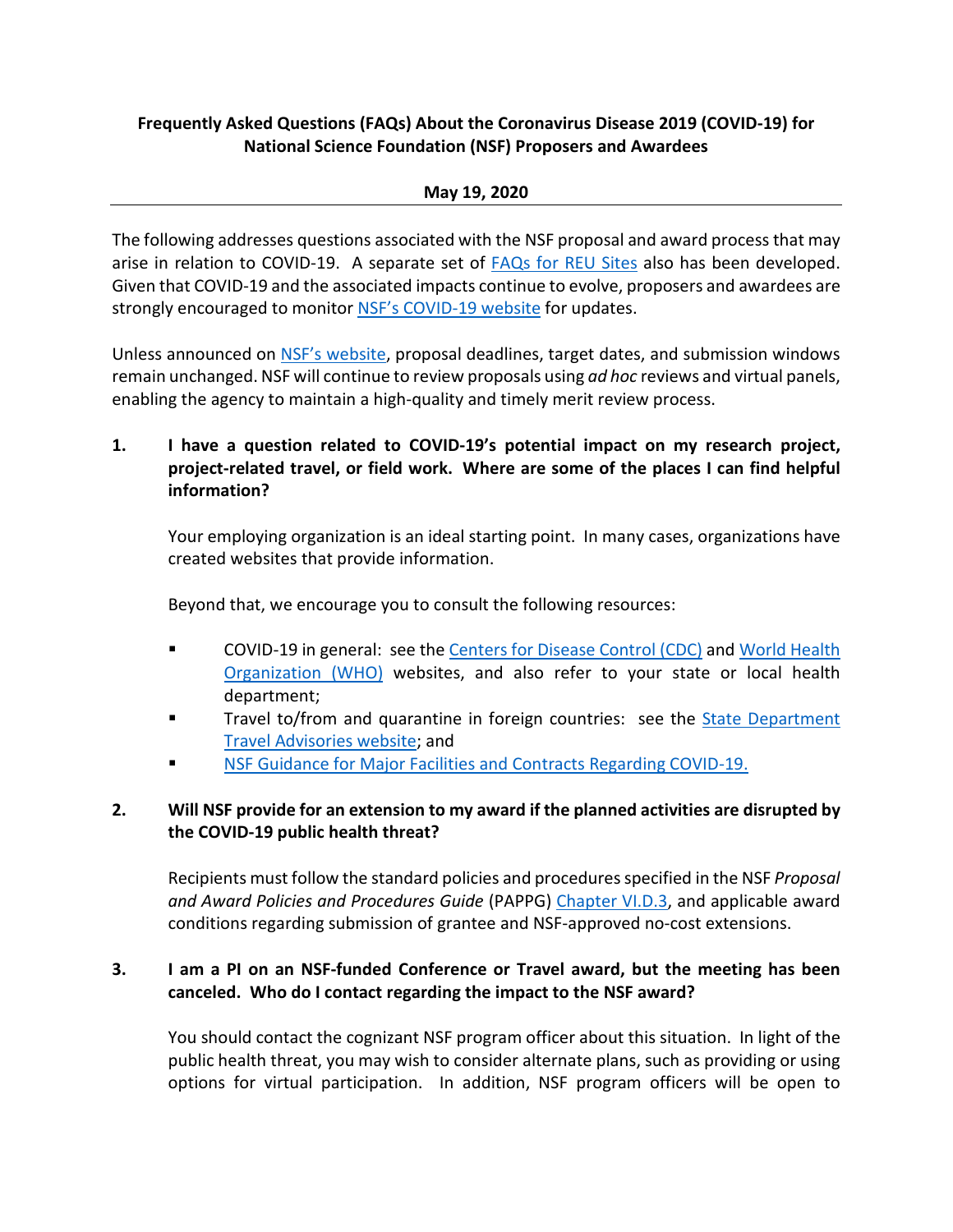## **Frequently Asked Questions (FAQs) About the Coronavirus Disease 2019 (COVID-19) for National Science Foundation (NSF) Proposers and Awardees**

### **May 19, 2020**

The following addresses questions associated with the NSF proposal and award process that may arise in relation to COVID-19. A separate set of [FAQs for REU Sites](https://www.nsf.gov/bfa/dias/policy/covid19/covid19faqs_reu.pdf) also has been developed. Given that COVID-19 and the associated impacts continue to evolve, proposers and awardees are strongly encouraged to monitor NSF's [COVID-19 website](https://www.nsf.gov/news/special_reports/coronavirus/) for updates.

Unless announced on [NSF's website,](https://www.nsf.gov/bfa/dias/policy/covid19/covid19_deadlines.pdf) proposal deadlines, target dates, and submission windows remain unchanged. NSF will continue to review proposals using *ad hoc* reviews and virtual panels, enabling the agency to maintain a high-quality and timely merit review process.

## **1. I have a question related to COVID-19's potential impact on my research project, project-related travel, or field work. Where are some of the places I can find helpful information?**

Your employing organization is an ideal starting point. In many cases, organizations have created websites that provide information.

Beyond that, we encourage you to consult the following resources:

- COVID-19 in general: see th[e Centers for Disease Control](https://www.cdc.gov/coronavirus/2019-ncov/index.html) (CDC) and [World Health](https://www.who.int/emergencies/diseases/novel-coronavirus-2019)  [Organization \(WHO\)](https://www.who.int/emergencies/diseases/novel-coronavirus-2019) websites, and also refer to your state or local health department;
- Travel to/from and quarantine in foreign countries: see the **[State Department](https://travel.state.gov/content/travel/en/traveladvisories/traveladvisories.html/)** [Travel Advisories website;](https://travel.state.gov/content/travel/en/traveladvisories/traveladvisories.html/) and
- [NSF Guidance for Major Facilities and Contracts Regarding COVID-19.](https://www.nsf.gov/news/special_reports/coronavirus/NSF%20Guidance%20for%20Major%20Facilities%20and%20Contracts%20Regarding%20COVID-19.pdf)

# **2. Will NSF provide for an extension to my award if the planned activities are disrupted by the COVID-19 public health threat?**

Recipients must follow the standard policies and procedures specified in the NSF *Proposal and Award Policies and Procedures Guide* (PAPPG) [Chapter VI.D.3,](https://www.nsf.gov/pubs/policydocs/pappg19_1/pappg_6.jsp#VID3) and applicable award conditions regarding submission of grantee and NSF-approved no-cost extensions.

### **3. I am a PI on an NSF-funded Conference or Travel award, but the meeting has been canceled. Who do I contact regarding the impact to the NSF award?**

You should contact the cognizant NSF program officer about this situation. In light of the public health threat, you may wish to consider alternate plans, such as providing or using options for virtual participation. In addition, NSF program officers will be open to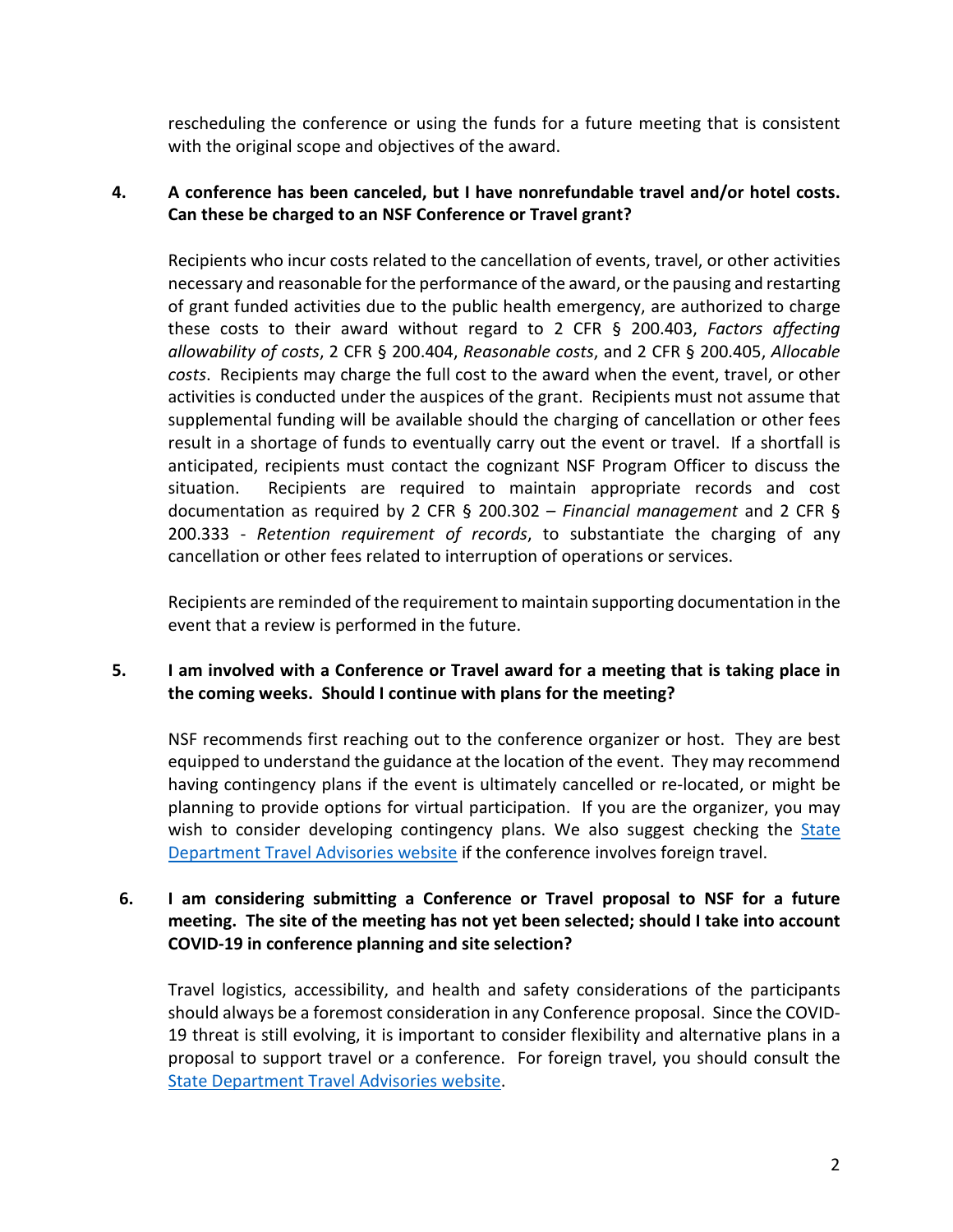rescheduling the conference or using the funds for a future meeting that is consistent with the original scope and objectives of the award.

## **4. A conference has been canceled, but I have nonrefundable travel and/or hotel costs. Can these be charged to an NSF Conference or Travel grant?**

Recipients who incur costs related to the cancellation of events, travel, or other activities necessary and reasonable for the performance of the award, or the pausing and restarting of grant funded activities due to the public health emergency, are authorized to charge these costs to their award without regard to 2 CFR § 200.403, *Factors affecting allowability of costs*, 2 CFR § 200.404, *Reasonable costs*, and 2 CFR § 200.405, *Allocable costs*. Recipients may charge the full cost to the award when the event, travel, or other activities is conducted under the auspices of the grant. Recipients must not assume that supplemental funding will be available should the charging of cancellation or other fees result in a shortage of funds to eventually carry out the event or travel. If a shortfall is anticipated, recipients must contact the cognizant NSF Program Officer to discuss the situation. Recipients are required to maintain appropriate records and cost documentation as required by 2 CFR § 200.302 – *Financial management* and 2 CFR § 200.333 - *Retention requirement of records*, to substantiate the charging of any cancellation or other fees related to interruption of operations or services.

Recipients are reminded of the requirement to maintain supporting documentation in the event that a review is performed in the future.

## **5. I am involved with a Conference or Travel award for a meeting that is taking place in the coming weeks. Should I continue with plans for the meeting?**

NSF recommends first reaching out to the conference organizer or host. They are best equipped to understand the guidance at the location of the event. They may recommend having contingency plans if the event is ultimately cancelled or re-located, or might be planning to provide options for virtual participation. If you are the organizer, you may wish to consider developing contingency plans. We also suggest checking the State [Department Travel Advisories website](https://travel.state.gov/content/travel/en/traveladvisories/traveladvisories.html/) if the conference involves foreign travel.

### **6. I am considering submitting a Conference or Travel proposal to NSF for a future meeting. The site of the meeting has not yet been selected; should I take into account COVID-19 in conference planning and site selection?**

Travel logistics, accessibility, and health and safety considerations of the participants should always be a foremost consideration in any Conference proposal. Since the COVID-19 threat is still evolving, it is important to consider flexibility and alternative plans in a proposal to support travel or a conference. For foreign travel, you should consult the [State Department Travel Advisories website.](https://travel.state.gov/content/travel/en/traveladvisories/traveladvisories.html/)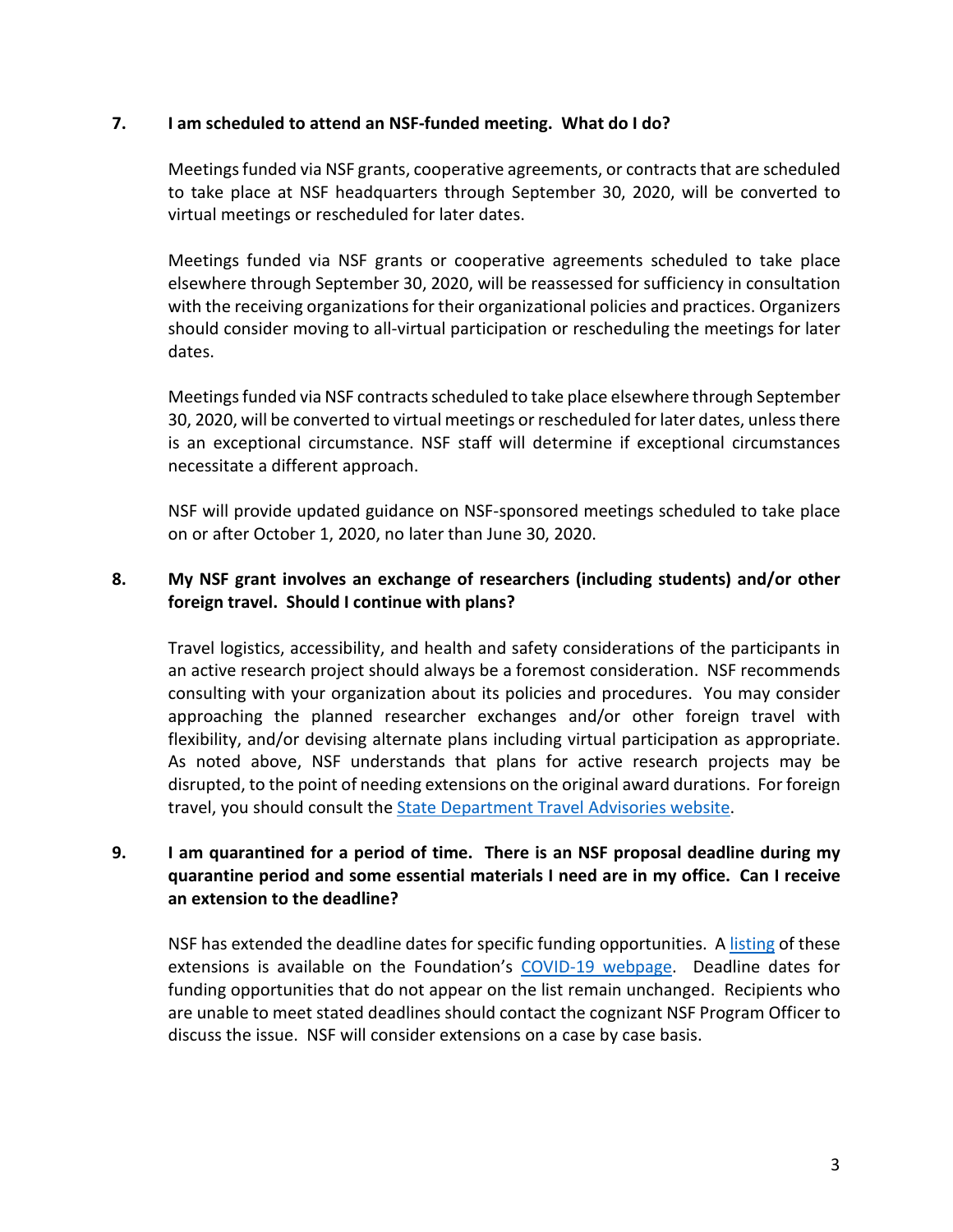#### **7. I am scheduled to attend an NSF-funded meeting. What do I do?**

Meetings funded via NSF grants, cooperative agreements, or contracts that are scheduled to take place at NSF headquarters through September 30, 2020, will be converted to virtual meetings or rescheduled for later dates.

Meetings funded via NSF grants or cooperative agreements scheduled to take place elsewhere through September 30, 2020, will be reassessed for sufficiency in consultation with the receiving organizations for their organizational policies and practices. Organizers should consider moving to all-virtual participation or rescheduling the meetings for later dates.

Meetings funded via NSF contracts scheduled to take place elsewhere through September 30, 2020, will be converted to virtual meetings or rescheduled for later dates, unless there is an exceptional circumstance. NSF staff will determine if exceptional circumstances necessitate a different approach.

NSF will provide updated guidance on NSF-sponsored meetings scheduled to take place on or after October 1, 2020, no later than June 30, 2020.

### **8. My NSF grant involves an exchange of researchers (including students) and/or other foreign travel. Should I continue with plans?**

Travel logistics, accessibility, and health and safety considerations of the participants in an active research project should always be a foremost consideration. NSF recommends consulting with your organization about its policies and procedures. You may consider approaching the planned researcher exchanges and/or other foreign travel with flexibility, and/or devising alternate plans including virtual participation as appropriate. As noted above, NSF understands that plans for active research projects may be disrupted, to the point of needing extensions on the original award durations. For foreign travel, you should consult the **State Department Travel Advisories website**.

## **9. I am quarantined for a period of time. There is an NSF proposal deadline during my quarantine period and some essential materials I need are in my office. Can I receive an extension to the deadline?**

NSF has extended the deadline dates for specific funding opportunities. A [listing](https://www.nsf.gov/bfa/dias/policy/covid19/covid19_deadlines.pdf) of these extensions is available on the Foundation's [COVID-19 webpage.](https://www.nsf.gov/news/special_reports/coronavirus/) Deadline dates for funding opportunities that do not appear on the list remain unchanged.Recipients who are unable to meet stated deadlines should contact the cognizant NSF Program Officer to discuss the issue. NSF will consider extensions on a case by case basis.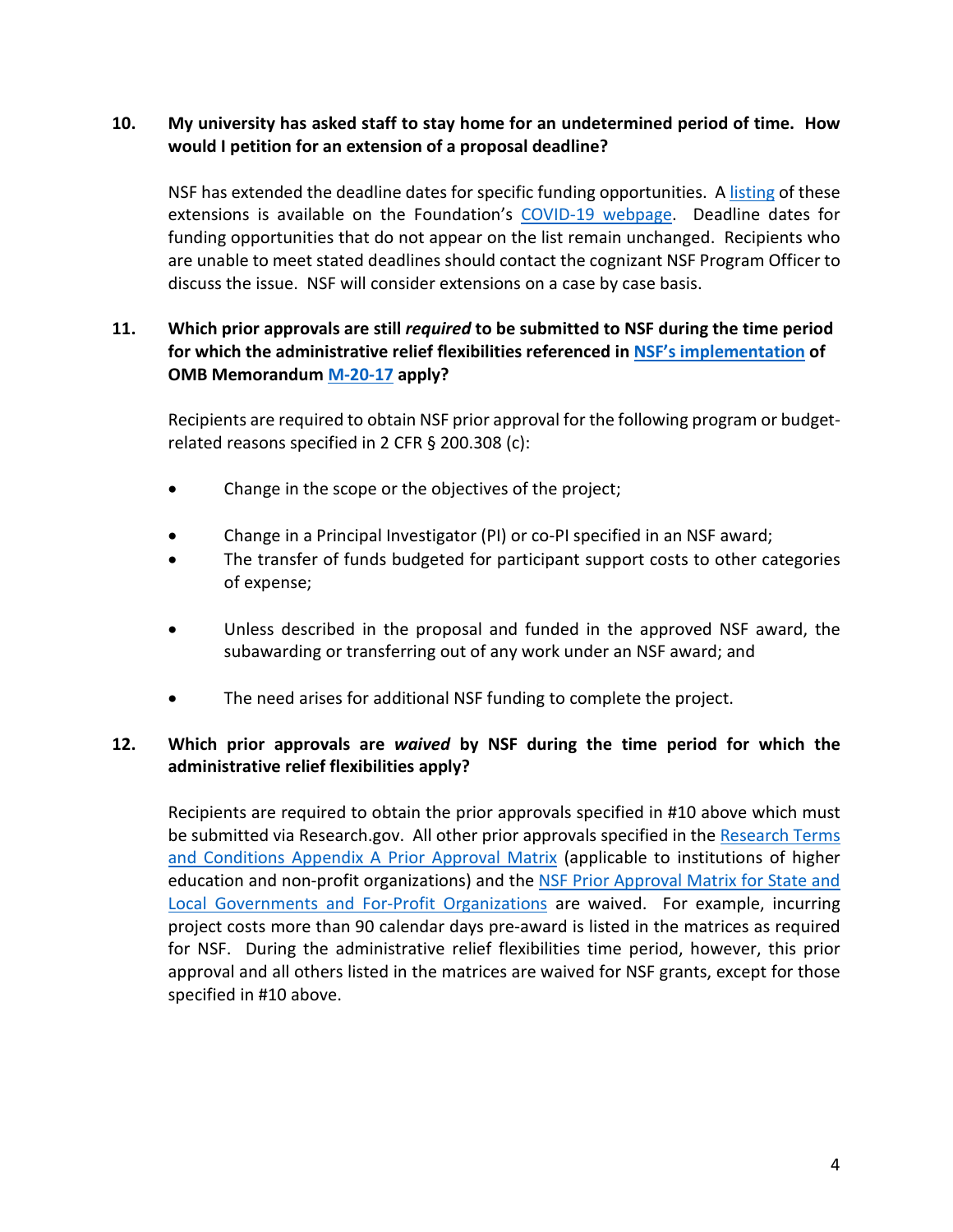## **10. My university has asked staff to stay home for an undetermined period of time. How would I petition for an extension of a proposal deadline?**

NSF has extended the deadline dates for specific funding opportunities. A [listing](https://www.nsf.gov/bfa/dias/policy/covid19/covid19_deadlines.pdf) of these extensions is available on the Foundation's [COVID-19 webpage.](https://www.nsf.gov/news/special_reports/coronavirus/) Deadline dates for funding opportunities that do not appear on the list remain unchanged.Recipients who are unable to meet stated deadlines should contact the cognizant NSF Program Officer to discuss the issue. NSF will consider extensions on a case by case basis.

## **11. Which prior approvals are still** *required* **to be submitted to NSF during the time period for which the administrative relief flexibilities referenced in [NSF's implementation](https://www.nsf.gov/bfa/dias/policy/covid19/covid19_nsfombimplementation.pdf) of OMB Memorandum [M-20-17](https://www.whitehouse.gov/wp-content/uploads/2020/03/M-20-17.pdf) apply?**

Recipients are required to obtain NSF prior approval for the following program or budgetrelated reasons specified in 2 CFR § 200.308 (c):

- Change in the scope or the objectives of the project;
- Change in a Principal Investigator (PI) or co-PI specified in an NSF award;
- The transfer of funds budgeted for participant support costs to other categories of expense;
- Unless described in the proposal and funded in the approved NSF award, the subawarding or transferring out of any work under an NSF award; and
- The need arises for additional NSF funding to complete the project.

## **12. Which prior approvals are** *waived* **by NSF during the time period for which the administrative relief flexibilities apply?**

Recipients are required to obtain the prior approvals specified in #10 above which must be submitted via Research.gov. All other prior approvals specified in th[e Research Terms](https://www.nsf.gov/bfa/dias/policy/fedrtc/appendix_a.pdf)  [and Conditions Appendix A](https://www.nsf.gov/bfa/dias/policy/fedrtc/appendix_a.pdf) Prior Approval Matrix (applicable to institutions of higher education and non-profit organizations) and the NSF Prior Approval Matrix for State and [Local Governments and For-Profit Organizations](https://www.nsf.gov/bfa/dias/policy/priorapprovals/march18.pdf) are waived. For example, incurring project costs more than 90 calendar days pre-award is listed in the matrices as required for NSF. During the administrative relief flexibilities time period, however, this prior approval and all others listed in the matrices are waived for NSF grants, except for those specified in #10 above.